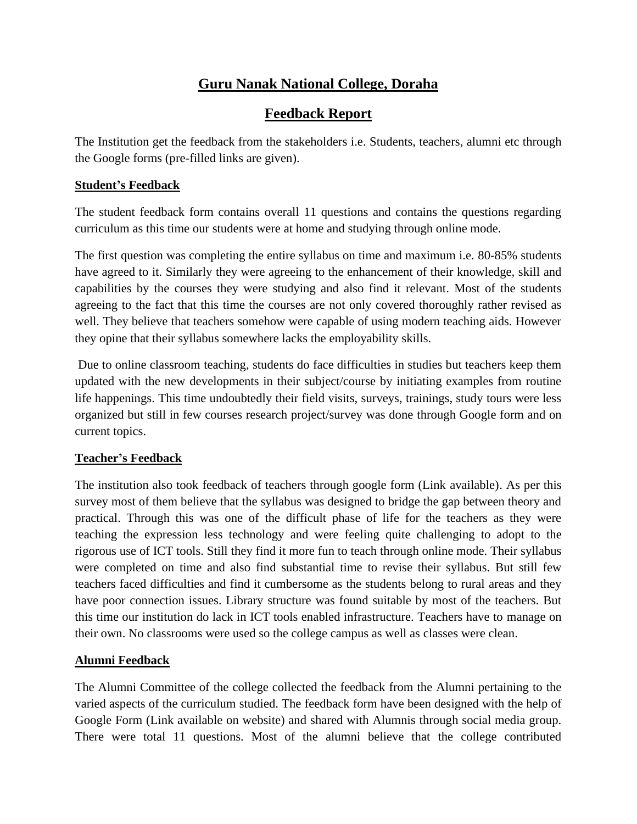# **Guru Nanak National College, Doraha**

# **Feedback Report**

The Institution get the feedback from the stakeholders i.e. Students, teachers, alumni etc through the Google forms (pre-filled links are given).

### **Student's Feedback**

The student feedback form contains overall 11 questions and contains the questions regarding curriculum as this time our students were at home and studying through online mode.

The first question was completing the entire syllabus on time and maximum i.e. 80-85% students have agreed to it. Similarly they were agreeing to the enhancement of their knowledge, skill and capabilities by the courses they were studying and also find it relevant. Most of the students agreeing to the fact that this time the courses are not only covered thoroughly rather revised as well. They believe that teachers somehow were capable of using modern teaching aids. However they opine that their syllabus somewhere lacks the employability skills.

Due to online classroom teaching, students do face difficulties in studies but teachers keep them updated with the new developments in their subject/course by initiating examples from routine life happenings. This time undoubtedly their field visits, surveys, trainings, study tours were less organized but still in few courses research project/survey was done through Google form and on current topics.

#### **Teacher's Feedback**

The institution also took feedback of teachers through google form (Link available). As per this survey most of them believe that the syllabus was designed to bridge the gap between theory and practical. Through this was one of the difficult phase of life for the teachers as they were teaching the expression less technology and were feeling quite challenging to adopt to the rigorous use of ICT tools. Still they find it more fun to teach through online mode. Their syllabus were completed on time and also find substantial time to revise their syllabus. But still few teachers faced difficulties and find it cumbersome as the students belong to rural areas and they have poor connection issues. Library structure was found suitable by most of the teachers. But this time our institution do lack in ICT tools enabled infrastructure. Teachers have to manage on their own. No classrooms were used so the college campus as well as classes were clean.

## **Alumni Feedback**

The Alumni Committee of the college collected the feedback from the Alumni pertaining to the varied aspects of the curriculum studied. The feedback form have been designed with the help of Google Form (Link available on website) and shared with Alumnis through social media group. There were total 11 questions. Most of the alumni believe that the college contributed